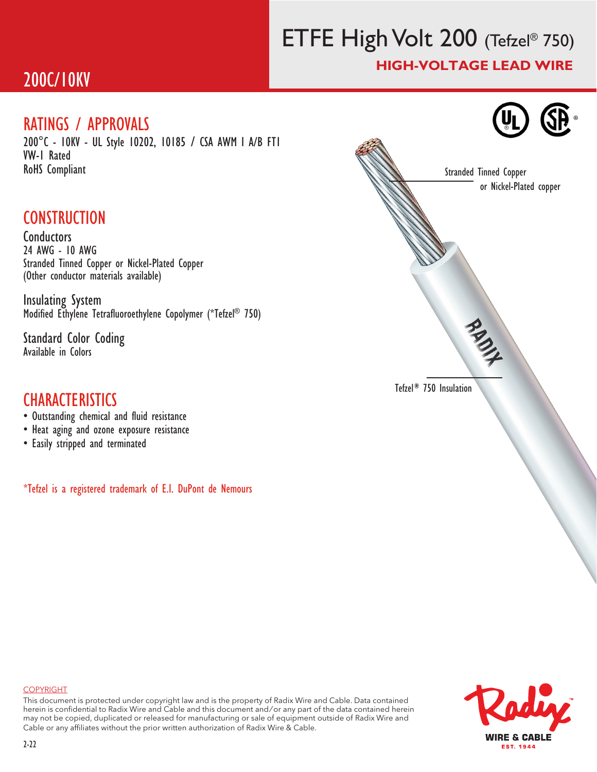# ETFE High Volt 200 (Tefzel® 750) HIGH-VOLTAGE LEAD WIRE

## 200C/10KV

#### RATINGS / APPROVALS

200°C - 10KV - UL Style 10202, 10185 / CSA AWM I A/B FT1 VW-1 Rated RoHS Compliant

### **CONSTRUCTION**

Conductors 24 AWG - 10 AWG Stranded Tinned Copper or Nickel-Plated Copper (Other conductor materials available)

Insulating System Modified Ethylene Tetrafluoroethylene Copolymer (\*Tefzel® 750)

Standard Color Coding Available in Colors

### **CHARACTERISTICS**

- Outstanding chemical and fluid resistance
- Heat aging and ozone exposure resistance
- Easily stripped and terminated

\*Tefzel is a registered trademark of E.I. DuPont de Nemours



#### COPYRIGHT

This document is protected under copyright law and is the property of Radix Wire and Cable. Data contained herein is confidential to Radix Wire and Cable and this document and / or any part of the data contained herein may not be copied, duplicated or released for manufacturing or sale of equipment outside of Radix Wire and Cable or any affiliates without the prior written authorization of Radix Wire & Cable.